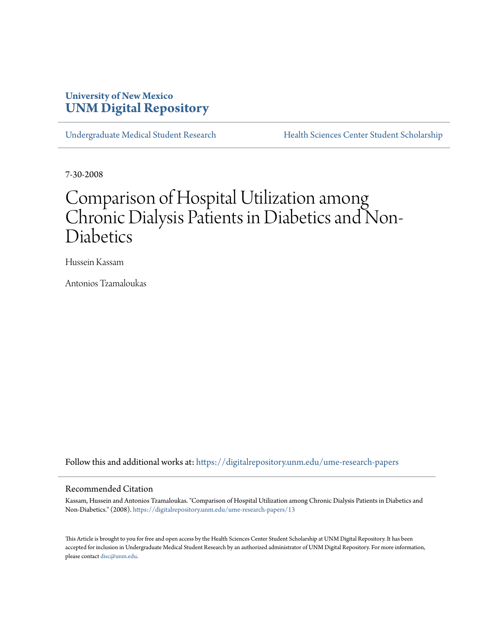### **University of New Mexico [UNM Digital Repository](https://digitalrepository.unm.edu?utm_source=digitalrepository.unm.edu%2Fume-research-papers%2F13&utm_medium=PDF&utm_campaign=PDFCoverPages)**

[Undergraduate Medical Student Research](https://digitalrepository.unm.edu/ume-research-papers?utm_source=digitalrepository.unm.edu%2Fume-research-papers%2F13&utm_medium=PDF&utm_campaign=PDFCoverPages) [Health Sciences Center Student Scholarship](https://digitalrepository.unm.edu/hsc-students?utm_source=digitalrepository.unm.edu%2Fume-research-papers%2F13&utm_medium=PDF&utm_campaign=PDFCoverPages)

7-30-2008

# Comparison of Hospital Utilization among Chronic Dialysis Patients in Diabetics and Non-Diabetics

Hussein Kassam

Antonios Tzamaloukas

Follow this and additional works at: [https://digitalrepository.unm.edu/ume-research-papers](https://digitalrepository.unm.edu/ume-research-papers?utm_source=digitalrepository.unm.edu%2Fume-research-papers%2F13&utm_medium=PDF&utm_campaign=PDFCoverPages)

#### Recommended Citation

Kassam, Hussein and Antonios Tzamaloukas. "Comparison of Hospital Utilization among Chronic Dialysis Patients in Diabetics and Non-Diabetics." (2008). [https://digitalrepository.unm.edu/ume-research-papers/13](https://digitalrepository.unm.edu/ume-research-papers/13?utm_source=digitalrepository.unm.edu%2Fume-research-papers%2F13&utm_medium=PDF&utm_campaign=PDFCoverPages)

This Article is brought to you for free and open access by the Health Sciences Center Student Scholarship at UNM Digital Repository. It has been accepted for inclusion in Undergraduate Medical Student Research by an authorized administrator of UNM Digital Repository. For more information, please contact [disc@unm.edu.](mailto:disc@unm.edu)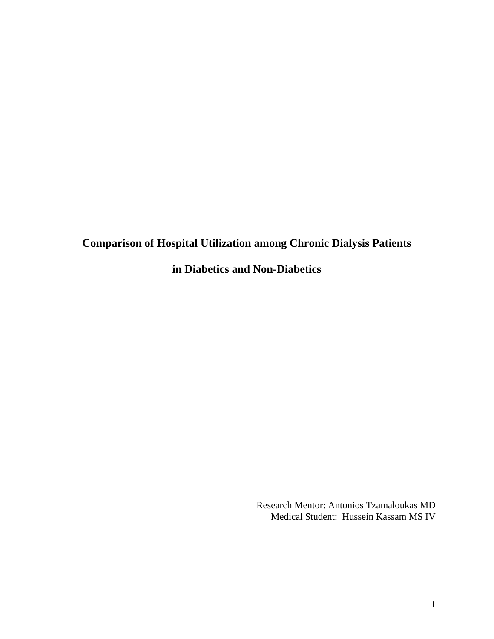## **Comparison of Hospital Utilization among Chronic Dialysis Patients**

**in Diabetics and Non-Diabetics** 

Research Mentor: Antonios Tzamaloukas MD Medical Student: Hussein Kassam MS IV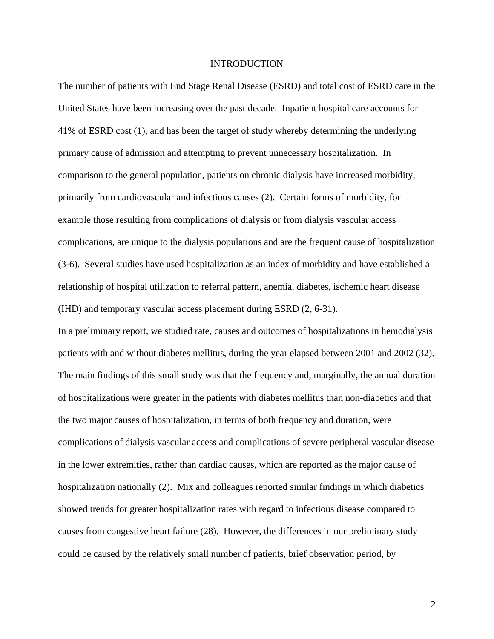#### INTRODUCTION

The number of patients with End Stage Renal Disease (ESRD) and total cost of ESRD care in the United States have been increasing over the past decade. Inpatient hospital care accounts for 41% of ESRD cost (1), and has been the target of study whereby determining the underlying primary cause of admission and attempting to prevent unnecessary hospitalization. In comparison to the general population, patients on chronic dialysis have increased morbidity, primarily from cardiovascular and infectious causes (2). Certain forms of morbidity, for example those resulting from complications of dialysis or from dialysis vascular access complications, are unique to the dialysis populations and are the frequent cause of hospitalization (3-6). Several studies have used hospitalization as an index of morbidity and have established a relationship of hospital utilization to referral pattern, anemia, diabetes, ischemic heart disease (IHD) and temporary vascular access placement during ESRD (2, 6-31).

In a preliminary report, we studied rate, causes and outcomes of hospitalizations in hemodialysis patients with and without diabetes mellitus, during the year elapsed between 2001 and 2002 (32). The main findings of this small study was that the frequency and, marginally, the annual duration of hospitalizations were greater in the patients with diabetes mellitus than non-diabetics and that the two major causes of hospitalization, in terms of both frequency and duration, were complications of dialysis vascular access and complications of severe peripheral vascular disease in the lower extremities, rather than cardiac causes, which are reported as the major cause of hospitalization nationally (2). Mix and colleagues reported similar findings in which diabetics showed trends for greater hospitalization rates with regard to infectious disease compared to causes from congestive heart failure (28). However, the differences in our preliminary study could be caused by the relatively small number of patients, brief observation period, by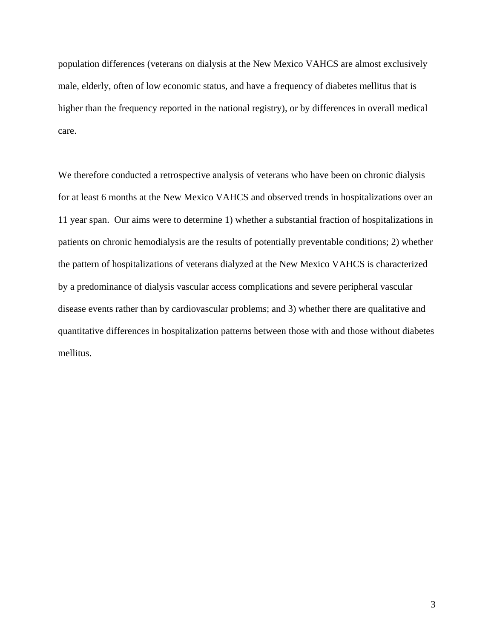population differences (veterans on dialysis at the New Mexico VAHCS are almost exclusively male, elderly, often of low economic status, and have a frequency of diabetes mellitus that is higher than the frequency reported in the national registry), or by differences in overall medical care.

We therefore conducted a retrospective analysis of veterans who have been on chronic dialysis for at least 6 months at the New Mexico VAHCS and observed trends in hospitalizations over an 11 year span. Our aims were to determine 1) whether a substantial fraction of hospitalizations in patients on chronic hemodialysis are the results of potentially preventable conditions; 2) whether the pattern of hospitalizations of veterans dialyzed at the New Mexico VAHCS is characterized by a predominance of dialysis vascular access complications and severe peripheral vascular disease events rather than by cardiovascular problems; and 3) whether there are qualitative and quantitative differences in hospitalization patterns between those with and those without diabetes mellitus.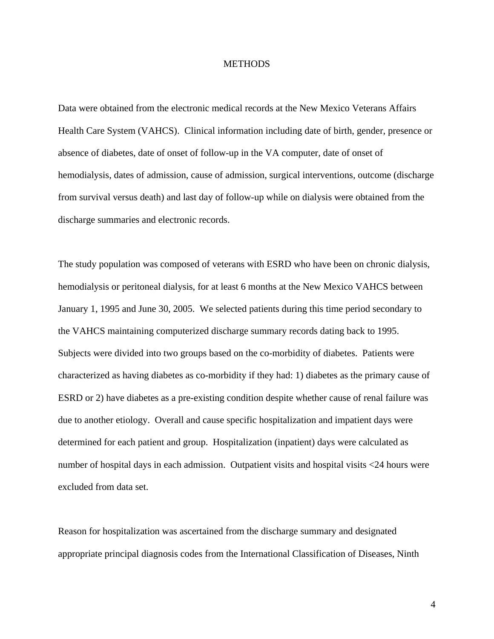#### **METHODS**

Data were obtained from the electronic medical records at the New Mexico Veterans Affairs Health Care System (VAHCS). Clinical information including date of birth, gender, presence or absence of diabetes, date of onset of follow-up in the VA computer, date of onset of hemodialysis, dates of admission, cause of admission, surgical interventions, outcome (discharge from survival versus death) and last day of follow-up while on dialysis were obtained from the discharge summaries and electronic records.

The study population was composed of veterans with ESRD who have been on chronic dialysis, hemodialysis or peritoneal dialysis, for at least 6 months at the New Mexico VAHCS between January 1, 1995 and June 30, 2005. We selected patients during this time period secondary to the VAHCS maintaining computerized discharge summary records dating back to 1995. Subjects were divided into two groups based on the co-morbidity of diabetes. Patients were characterized as having diabetes as co-morbidity if they had: 1) diabetes as the primary cause of ESRD or 2) have diabetes as a pre-existing condition despite whether cause of renal failure was due to another etiology. Overall and cause specific hospitalization and impatient days were determined for each patient and group. Hospitalization (inpatient) days were calculated as number of hospital days in each admission. Outpatient visits and hospital visits <24 hours were excluded from data set.

Reason for hospitalization was ascertained from the discharge summary and designated appropriate principal diagnosis codes from the International Classification of Diseases, Ninth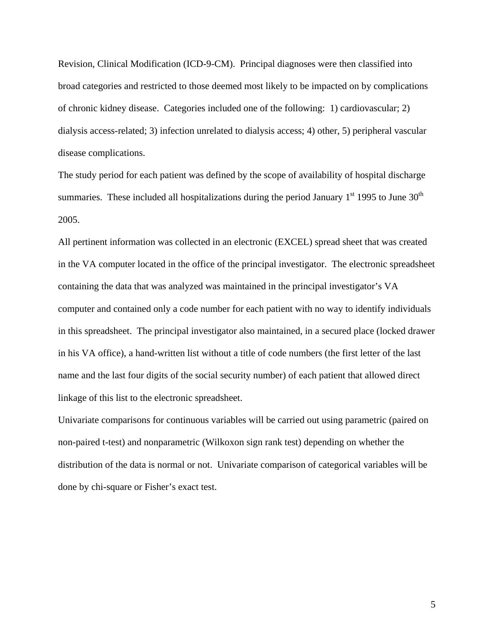Revision, Clinical Modification (ICD-9-CM). Principal diagnoses were then classified into broad categories and restricted to those deemed most likely to be impacted on by complications of chronic kidney disease. Categories included one of the following: 1) cardiovascular; 2) dialysis access-related; 3) infection unrelated to dialysis access; 4) other, 5) peripheral vascular disease complications.

The study period for each patient was defined by the scope of availability of hospital discharge summaries. These included all hospitalizations during the period January  $1<sup>st</sup>$  1995 to June 30<sup>th</sup> 2005.

All pertinent information was collected in an electronic (EXCEL) spread sheet that was created in the VA computer located in the office of the principal investigator. The electronic spreadsheet containing the data that was analyzed was maintained in the principal investigator's VA computer and contained only a code number for each patient with no way to identify individuals in this spreadsheet. The principal investigator also maintained, in a secured place (locked drawer in his VA office), a hand-written list without a title of code numbers (the first letter of the last name and the last four digits of the social security number) of each patient that allowed direct linkage of this list to the electronic spreadsheet.

Univariate comparisons for continuous variables will be carried out using parametric (paired on non-paired t-test) and nonparametric (Wilkoxon sign rank test) depending on whether the distribution of the data is normal or not. Univariate comparison of categorical variables will be done by chi-square or Fisher's exact test.

5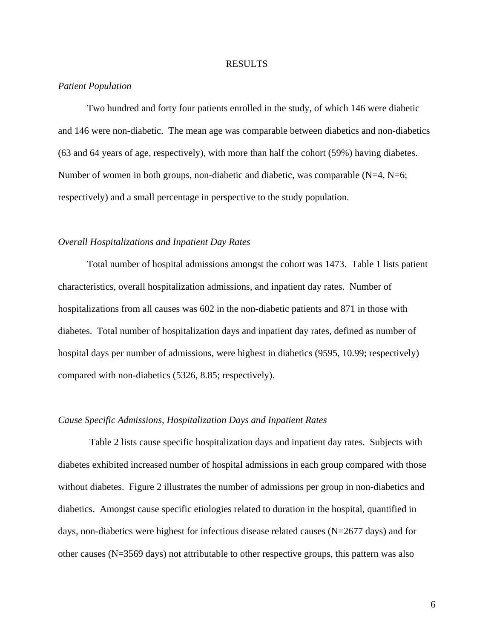#### RESULTS

#### *Patient Population*

 Two hundred and forty four patients enrolled in the study, of which 146 were diabetic and 146 were non-diabetic. The mean age was comparable between diabetics and non-diabetics (63 and 64 years of age, respectively), with more than half the cohort (59%) having diabetes. Number of women in both groups, non-diabetic and diabetic, was comparable (N=4, N=6; respectively) and a small percentage in perspective to the study population.

#### *Overall Hospitalizations and Inpatient Day Rates*

Total number of hospital admissions amongst the cohort was 1473. Table 1 lists patient characteristics, overall hospitalization admissions, and inpatient day rates. Number of hospitalizations from all causes was 602 in the non-diabetic patients and 871 in those with diabetes. Total number of hospitalization days and inpatient day rates, defined as number of hospital days per number of admissions, were highest in diabetics (9595, 10.99; respectively) compared with non-diabetics (5326, 8.85; respectively).

#### *Cause Specific Admissions, Hospitalization Days and Inpatient Rates*

 Table 2 lists cause specific hospitalization days and inpatient day rates. Subjects with diabetes exhibited increased number of hospital admissions in each group compared with those without diabetes. Figure 2 illustrates the number of admissions per group in non-diabetics and diabetics. Amongst cause specific etiologies related to duration in the hospital, quantified in days, non-diabetics were highest for infectious disease related causes ( $N=2677$  days) and for other causes (N=3569 days) not attributable to other respective groups, this pattern was also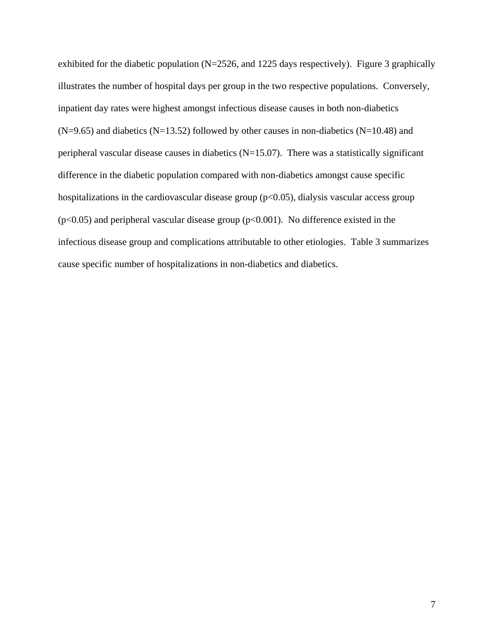exhibited for the diabetic population (N=2526, and 1225 days respectively). Figure 3 graphically illustrates the number of hospital days per group in the two respective populations. Conversely, inpatient day rates were highest amongst infectious disease causes in both non-diabetics  $(N=9.65)$  and diabetics  $(N=13.52)$  followed by other causes in non-diabetics  $(N=10.48)$  and peripheral vascular disease causes in diabetics  $(N=15.07)$ . There was a statistically significant difference in the diabetic population compared with non-diabetics amongst cause specific hospitalizations in the cardiovascular disease group ( $p<0.05$ ), dialysis vascular access group  $(p<0.05)$  and peripheral vascular disease group  $(p<0.001)$ . No difference existed in the infectious disease group and complications attributable to other etiologies. Table 3 summarizes cause specific number of hospitalizations in non-diabetics and diabetics.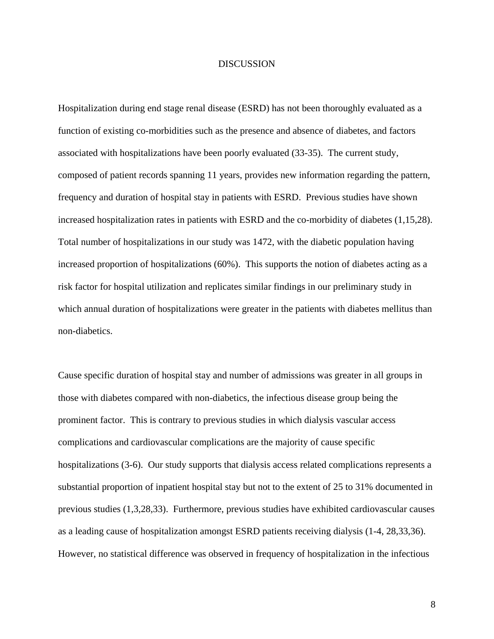#### DISCUSSION

Hospitalization during end stage renal disease (ESRD) has not been thoroughly evaluated as a function of existing co-morbidities such as the presence and absence of diabetes, and factors associated with hospitalizations have been poorly evaluated (33-35). The current study, composed of patient records spanning 11 years, provides new information regarding the pattern, frequency and duration of hospital stay in patients with ESRD. Previous studies have shown increased hospitalization rates in patients with ESRD and the co-morbidity of diabetes (1,15,28). Total number of hospitalizations in our study was 1472, with the diabetic population having increased proportion of hospitalizations (60%). This supports the notion of diabetes acting as a risk factor for hospital utilization and replicates similar findings in our preliminary study in which annual duration of hospitalizations were greater in the patients with diabetes mellitus than non-diabetics.

Cause specific duration of hospital stay and number of admissions was greater in all groups in those with diabetes compared with non-diabetics, the infectious disease group being the prominent factor. This is contrary to previous studies in which dialysis vascular access complications and cardiovascular complications are the majority of cause specific hospitalizations (3-6). Our study supports that dialysis access related complications represents a substantial proportion of inpatient hospital stay but not to the extent of 25 to 31% documented in previous studies (1,3,28,33). Furthermore, previous studies have exhibited cardiovascular causes as a leading cause of hospitalization amongst ESRD patients receiving dialysis (1-4, 28,33,36). However, no statistical difference was observed in frequency of hospitalization in the infectious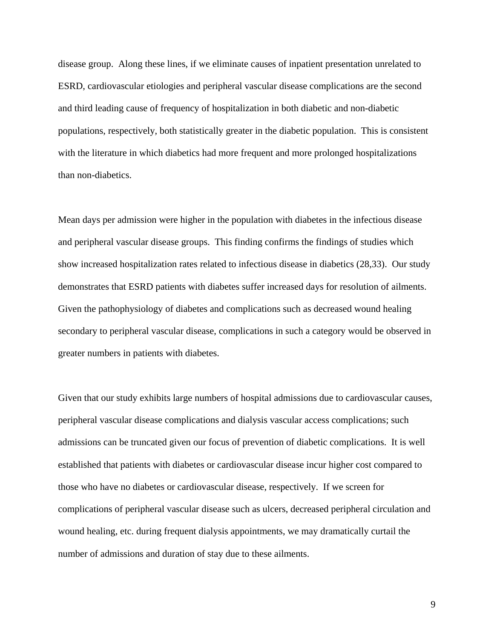disease group. Along these lines, if we eliminate causes of inpatient presentation unrelated to ESRD, cardiovascular etiologies and peripheral vascular disease complications are the second and third leading cause of frequency of hospitalization in both diabetic and non-diabetic populations, respectively, both statistically greater in the diabetic population. This is consistent with the literature in which diabetics had more frequent and more prolonged hospitalizations than non-diabetics.

Mean days per admission were higher in the population with diabetes in the infectious disease and peripheral vascular disease groups. This finding confirms the findings of studies which show increased hospitalization rates related to infectious disease in diabetics (28,33). Our study demonstrates that ESRD patients with diabetes suffer increased days for resolution of ailments. Given the pathophysiology of diabetes and complications such as decreased wound healing secondary to peripheral vascular disease, complications in such a category would be observed in greater numbers in patients with diabetes.

Given that our study exhibits large numbers of hospital admissions due to cardiovascular causes, peripheral vascular disease complications and dialysis vascular access complications; such admissions can be truncated given our focus of prevention of diabetic complications. It is well established that patients with diabetes or cardiovascular disease incur higher cost compared to those who have no diabetes or cardiovascular disease, respectively. If we screen for complications of peripheral vascular disease such as ulcers, decreased peripheral circulation and wound healing, etc. during frequent dialysis appointments, we may dramatically curtail the number of admissions and duration of stay due to these ailments.

9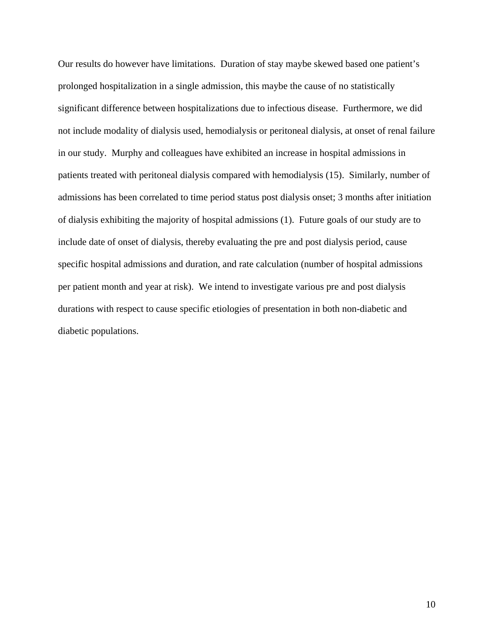Our results do however have limitations. Duration of stay maybe skewed based one patient's prolonged hospitalization in a single admission, this maybe the cause of no statistically significant difference between hospitalizations due to infectious disease. Furthermore, we did not include modality of dialysis used, hemodialysis or peritoneal dialysis, at onset of renal failure in our study. Murphy and colleagues have exhibited an increase in hospital admissions in patients treated with peritoneal dialysis compared with hemodialysis (15). Similarly, number of admissions has been correlated to time period status post dialysis onset; 3 months after initiation of dialysis exhibiting the majority of hospital admissions (1). Future goals of our study are to include date of onset of dialysis, thereby evaluating the pre and post dialysis period, cause specific hospital admissions and duration, and rate calculation (number of hospital admissions per patient month and year at risk). We intend to investigate various pre and post dialysis durations with respect to cause specific etiologies of presentation in both non-diabetic and diabetic populations.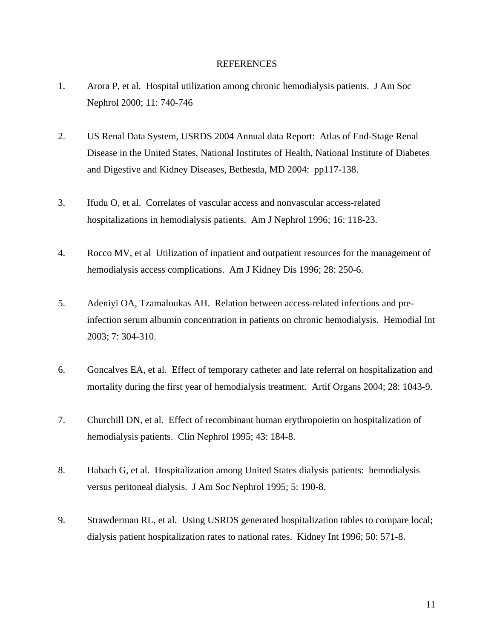#### REFERENCES

- 1. Arora P, et al. Hospital utilization among chronic hemodialysis patients. J Am Soc Nephrol 2000; 11: 740-746
- 2. US Renal Data System, USRDS 2004 Annual data Report: Atlas of End-Stage Renal Disease in the United States, National Institutes of Health, National Institute of Diabetes and Digestive and Kidney Diseases, Bethesda, MD 2004: pp117-138.
- 3. Ifudu O, et al. Correlates of vascular access and nonvascular access-related hospitalizations in hemodialysis patients. Am J Nephrol 1996; 16: 118-23.
- 4. Rocco MV, et al Utilization of inpatient and outpatient resources for the management of hemodialysis access complications. Am J Kidney Dis 1996; 28: 250-6.
- 5. Adeniyi OA, Tzamaloukas AH. Relation between access-related infections and preinfection serum albumin concentration in patients on chronic hemodialysis. Hemodial Int 2003; 7: 304-310.
- 6. Goncalves EA, et al. Effect of temporary catheter and late referral on hospitalization and mortality during the first year of hemodialysis treatment. Artif Organs 2004; 28: 1043-9.
- 7. Churchill DN, et al. Effect of recombinant human erythropoietin on hospitalization of hemodialysis patients. Clin Nephrol 1995; 43: 184-8.
- 8. Habach G, et al. Hospitalization among United States dialysis patients: hemodialysis versus peritoneal dialysis. J Am Soc Nephrol 1995; 5: 190-8.
- 9. Strawderman RL, et al. Using USRDS generated hospitalization tables to compare local; dialysis patient hospitalization rates to national rates. Kidney Int 1996; 50: 571-8.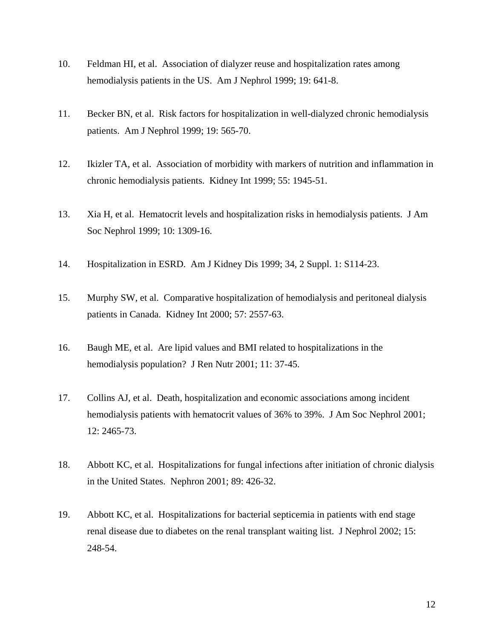- 10. Feldman HI, et al. Association of dialyzer reuse and hospitalization rates among hemodialysis patients in the US. Am J Nephrol 1999; 19: 641-8.
- 11. Becker BN, et al. Risk factors for hospitalization in well-dialyzed chronic hemodialysis patients. Am J Nephrol 1999; 19: 565-70.
- 12. Ikizler TA, et al. Association of morbidity with markers of nutrition and inflammation in chronic hemodialysis patients. Kidney Int 1999; 55: 1945-51.
- 13. Xia H, et al. Hematocrit levels and hospitalization risks in hemodialysis patients. J Am Soc Nephrol 1999; 10: 1309-16.
- 14. Hospitalization in ESRD. Am J Kidney Dis 1999; 34, 2 Suppl. 1: S114-23.
- 15. Murphy SW, et al. Comparative hospitalization of hemodialysis and peritoneal dialysis patients in Canada. Kidney Int 2000; 57: 2557-63.
- 16. Baugh ME, et al. Are lipid values and BMI related to hospitalizations in the hemodialysis population? J Ren Nutr 2001; 11: 37-45.
- 17. Collins AJ, et al. Death, hospitalization and economic associations among incident hemodialysis patients with hematocrit values of 36% to 39%. J Am Soc Nephrol 2001; 12: 2465-73.
- 18. Abbott KC, et al. Hospitalizations for fungal infections after initiation of chronic dialysis in the United States. Nephron 2001; 89: 426-32.
- 19. Abbott KC, et al. Hospitalizations for bacterial septicemia in patients with end stage renal disease due to diabetes on the renal transplant waiting list. J Nephrol 2002; 15: 248-54.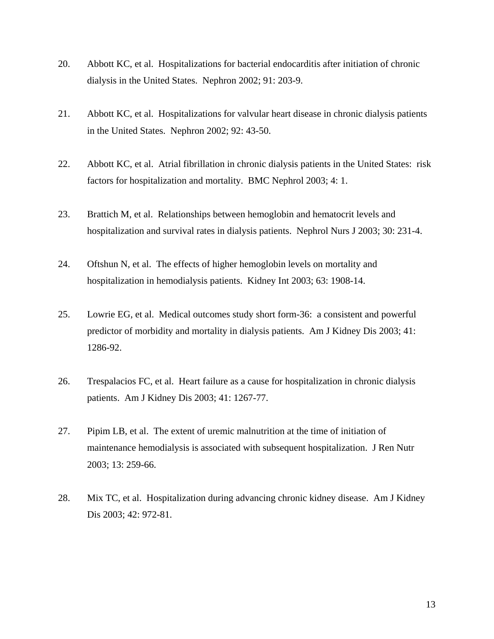- 20. Abbott KC, et al. Hospitalizations for bacterial endocarditis after initiation of chronic dialysis in the United States. Nephron 2002; 91: 203-9.
- 21. Abbott KC, et al. Hospitalizations for valvular heart disease in chronic dialysis patients in the United States. Nephron 2002; 92: 43-50.
- 22. Abbott KC, et al. Atrial fibrillation in chronic dialysis patients in the United States: risk factors for hospitalization and mortality. BMC Nephrol 2003; 4: 1.
- 23. Brattich M, et al. Relationships between hemoglobin and hematocrit levels and hospitalization and survival rates in dialysis patients. Nephrol Nurs J 2003; 30: 231-4.
- 24. Oftshun N, et al. The effects of higher hemoglobin levels on mortality and hospitalization in hemodialysis patients. Kidney Int 2003; 63: 1908-14.
- 25. Lowrie EG, et al. Medical outcomes study short form-36: a consistent and powerful predictor of morbidity and mortality in dialysis patients. Am J Kidney Dis 2003; 41: 1286-92.
- 26. Trespalacios FC, et al. Heart failure as a cause for hospitalization in chronic dialysis patients. Am J Kidney Dis 2003; 41: 1267-77.
- 27. Pipim LB, et al. The extent of uremic malnutrition at the time of initiation of maintenance hemodialysis is associated with subsequent hospitalization. J Ren Nutr 2003; 13: 259-66.
- 28. Mix TC, et al. Hospitalization during advancing chronic kidney disease. Am J Kidney Dis 2003; 42: 972-81.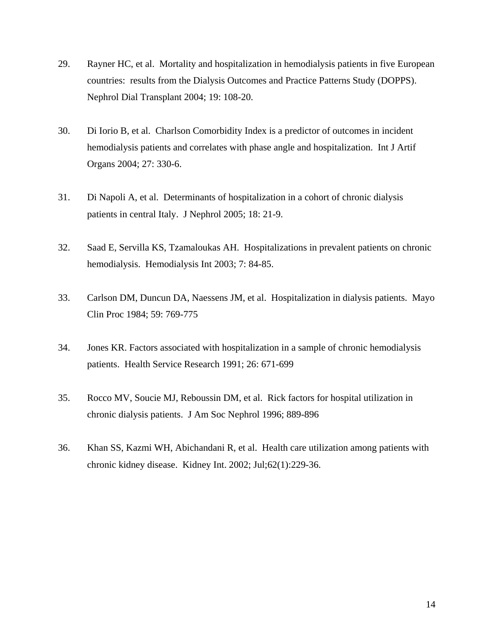- 29. Rayner HC, et al. Mortality and hospitalization in hemodialysis patients in five European countries: results from the Dialysis Outcomes and Practice Patterns Study (DOPPS). Nephrol Dial Transplant 2004; 19: 108-20.
- 30. Di Iorio B, et al. Charlson Comorbidity Index is a predictor of outcomes in incident hemodialysis patients and correlates with phase angle and hospitalization. Int J Artif Organs 2004; 27: 330-6.
- 31. Di Napoli A, et al. Determinants of hospitalization in a cohort of chronic dialysis patients in central Italy. J Nephrol 2005; 18: 21-9.
- 32. Saad E, Servilla KS, Tzamaloukas AH. Hospitalizations in prevalent patients on chronic hemodialysis. Hemodialysis Int 2003; 7: 84-85.
- 33. Carlson DM, Duncun DA, Naessens JM, et al. Hospitalization in dialysis patients. Mayo Clin Proc 1984; 59: 769-775
- 34. Jones KR. Factors associated with hospitalization in a sample of chronic hemodialysis patients. Health Service Research 1991; 26: 671-699
- 35. Rocco MV, Soucie MJ, Reboussin DM, et al. Rick factors for hospital utilization in chronic dialysis patients. J Am Soc Nephrol 1996; 889-896
- 36. Khan SS, Kazmi WH, Abichandani R, et al. Health care utilization among patients with chronic kidney disease. [Kidney Int.](javascript:AL_get(this,%20) 2002; Jul;62(1):229-36.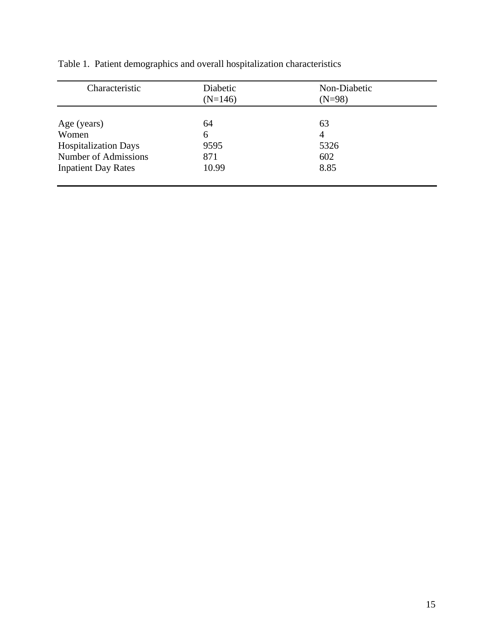| Characteristic              | Diabetic<br>$(N=146)$ | Non-Diabetic<br>$(N=98)$ |  |
|-----------------------------|-----------------------|--------------------------|--|
| Age (years)                 | 64                    | 63                       |  |
| Women                       | 6                     | $\overline{4}$           |  |
| <b>Hospitalization Days</b> | 9595                  | 5326                     |  |
| Number of Admissions        | 871                   | 602                      |  |
| <b>Inpatient Day Rates</b>  | 10.99                 | 8.85                     |  |

Table 1. Patient demographics and overall hospitalization characteristics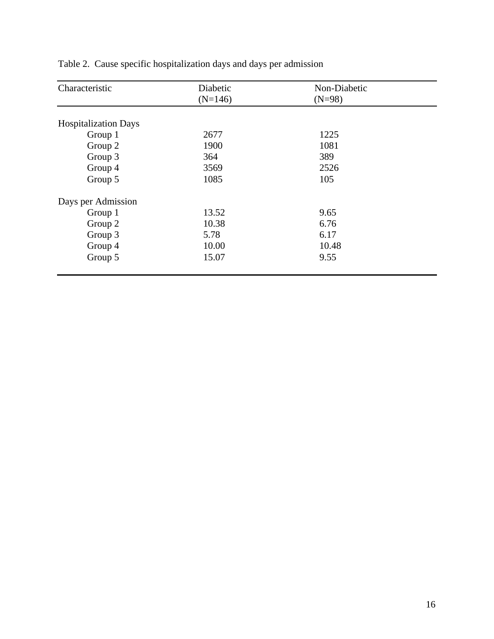| Characteristic              | Diabetic  | Non-Diabetic |  |
|-----------------------------|-----------|--------------|--|
|                             | $(N=146)$ | $(N=98)$     |  |
|                             |           |              |  |
| <b>Hospitalization Days</b> |           |              |  |
| Group 1                     | 2677      | 1225         |  |
| Group 2                     | 1900      | 1081         |  |
| Group 3                     | 364       | 389          |  |
| Group 4                     | 3569      | 2526         |  |
| Group 5                     | 1085      | 105          |  |
| Days per Admission          |           |              |  |
| Group 1                     | 13.52     | 9.65         |  |
| Group 2                     | 10.38     | 6.76         |  |
| Group 3                     | 5.78      | 6.17         |  |
| Group 4                     | 10.00     | 10.48        |  |
| Group 5                     | 15.07     | 9.55         |  |

Table 2. Cause specific hospitalization days and days per admission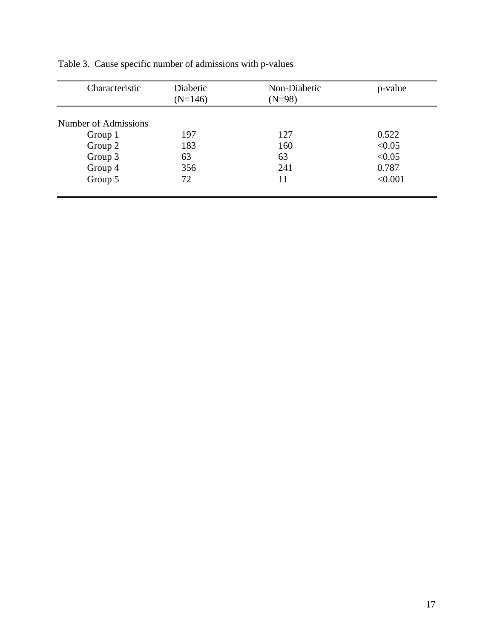| Characteristic       | Diabetic<br>$(N=146)$ | Non-Diabetic<br>$(N=98)$ | p-value |
|----------------------|-----------------------|--------------------------|---------|
| Number of Admissions |                       |                          |         |
| Group 1              | 197                   | 127                      | 0.522   |
| Group 2              | 183                   | 160                      | < 0.05  |
| Group 3              | 63                    | 63                       | < 0.05  |
| Group 4              | 356                   | 241                      | 0.787   |
| Group 5              | 72                    | 11                       | < 0.001 |
|                      |                       |                          |         |

Table 3. Cause specific number of admissions with p-values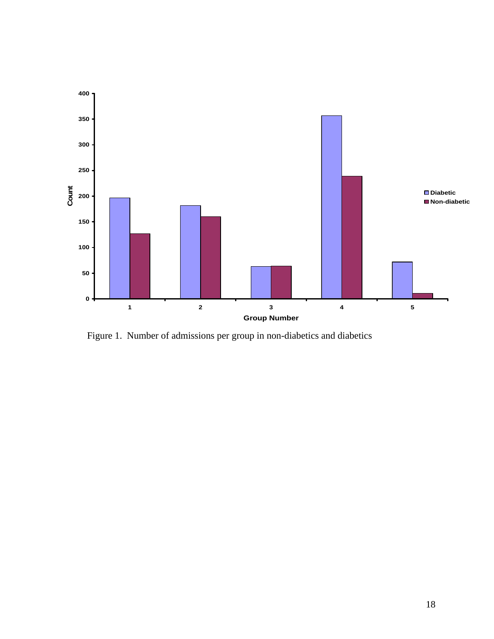

Figure 1. Number of admissions per group in non-diabetics and diabetics